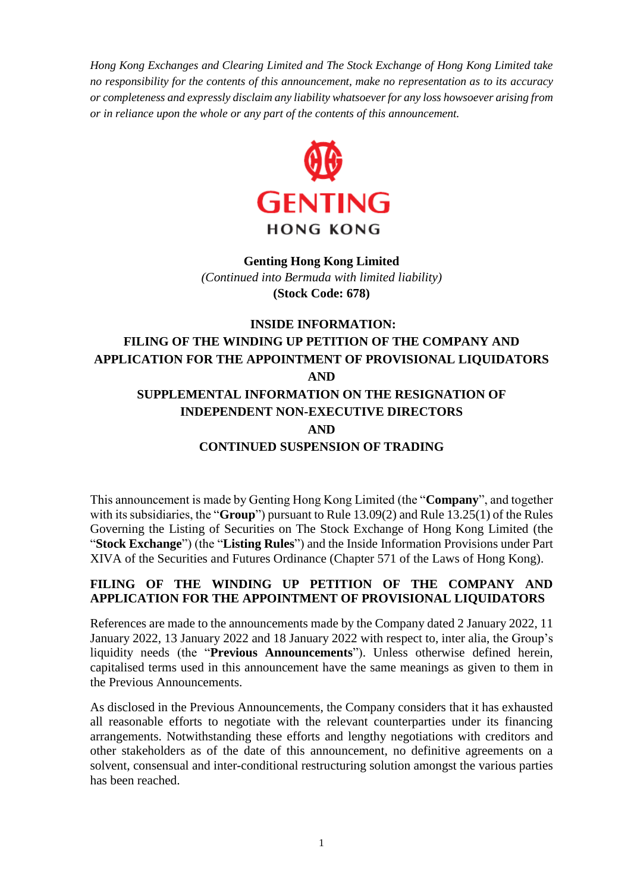*Hong Kong Exchanges and Clearing Limited and The Stock Exchange of Hong Kong Limited take no responsibility for the contents of this announcement, make no representation as to its accuracy or completeness and expressly disclaim any liability whatsoever for any loss howsoever arising from or in reliance upon the whole or any part of the contents of this announcement.*



# **Genting Hong Kong Limited**  *(Continued into Bermuda with limited liability)* **(Stock Code: 678)**

# **INSIDE INFORMATION: FILING OF THE WINDING UP PETITION OF THE COMPANY AND APPLICATION FOR THE APPOINTMENT OF PROVISIONAL LIQUIDATORS AND SUPPLEMENTAL INFORMATION ON THE RESIGNATION OF INDEPENDENT NON-EXECUTIVE DIRECTORS AND**

**CONTINUED SUSPENSION OF TRADING**

This announcement is made by Genting Hong Kong Limited (the "**Company**", and together with its subsidiaries, the "**Group**") pursuant to Rule 13.09(2) and Rule 13.25(1) of the Rules Governing the Listing of Securities on The Stock Exchange of Hong Kong Limited (the "**Stock Exchange**") (the "**Listing Rules**") and the Inside Information Provisions under Part XIVA of the Securities and Futures Ordinance (Chapter 571 of the Laws of Hong Kong).

# **FILING OF THE WINDING UP PETITION OF THE COMPANY AND APPLICATION FOR THE APPOINTMENT OF PROVISIONAL LIQUIDATORS**

References are made to the announcements made by the Company dated 2 January 2022, 11 January 2022, 13 January 2022 and 18 January 2022 with respect to, inter alia, the Group's liquidity needs (the "**Previous Announcements**"). Unless otherwise defined herein, capitalised terms used in this announcement have the same meanings as given to them in the Previous Announcements.

As disclosed in the Previous Announcements, the Company considers that it has exhausted all reasonable efforts to negotiate with the relevant counterparties under its financing arrangements. Notwithstanding these efforts and lengthy negotiations with creditors and other stakeholders as of the date of this announcement, no definitive agreements on a solvent, consensual and inter-conditional restructuring solution amongst the various parties has been reached.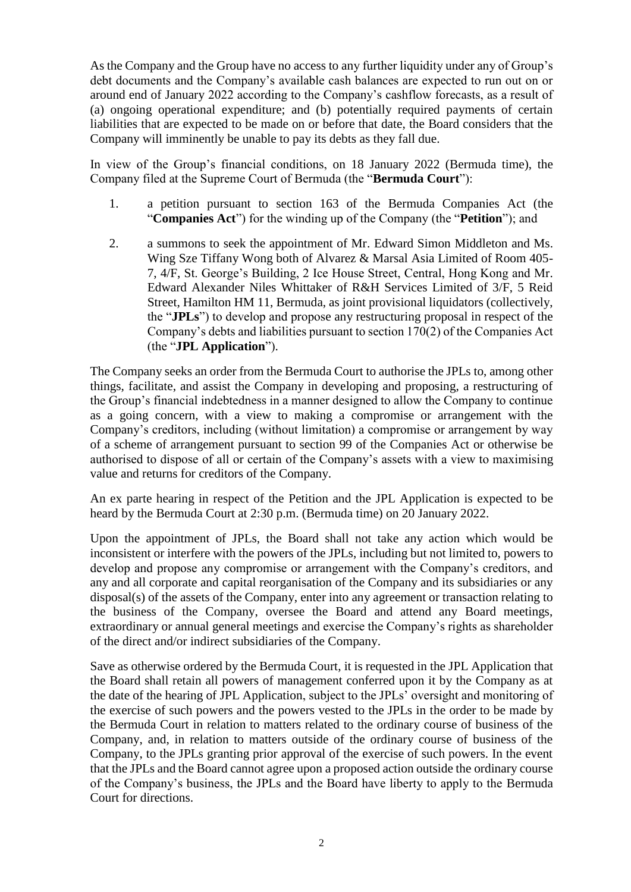As the Company and the Group have no access to any further liquidity under any of Group's debt documents and the Company's available cash balances are expected to run out on or around end of January 2022 according to the Company's cashflow forecasts, as a result of (a) ongoing operational expenditure; and (b) potentially required payments of certain liabilities that are expected to be made on or before that date, the Board considers that the Company will imminently be unable to pay its debts as they fall due.

In view of the Group's financial conditions, on 18 January 2022 (Bermuda time), the Company filed at the Supreme Court of Bermuda (the "**Bermuda Court**"):

- 1. a petition pursuant to section 163 of the Bermuda Companies Act (the "**Companies Act**") for the winding up of the Company (the "**Petition**"); and
- 2. a summons to seek the appointment of Mr. Edward Simon Middleton and Ms. Wing Sze Tiffany Wong both of Alvarez & Marsal Asia Limited of Room 405- 7, 4/F, St. George's Building, 2 Ice House Street, Central, Hong Kong and Mr. Edward Alexander Niles Whittaker of R&H Services Limited of 3/F, 5 Reid Street, Hamilton HM 11, Bermuda, as joint provisional liquidators (collectively, the "**JPLs**") to develop and propose any restructuring proposal in respect of the Company's debts and liabilities pursuant to section 170(2) of the Companies Act (the "**JPL Application**").

The Company seeks an order from the Bermuda Court to authorise the JPLs to, among other things, facilitate, and assist the Company in developing and proposing, a restructuring of the Group's financial indebtedness in a manner designed to allow the Company to continue as a going concern, with a view to making a compromise or arrangement with the Company's creditors, including (without limitation) a compromise or arrangement by way of a scheme of arrangement pursuant to section 99 of the Companies Act or otherwise be authorised to dispose of all or certain of the Company's assets with a view to maximising value and returns for creditors of the Company.

An ex parte hearing in respect of the Petition and the JPL Application is expected to be heard by the Bermuda Court at 2:30 p.m. (Bermuda time) on 20 January 2022.

Upon the appointment of JPLs, the Board shall not take any action which would be inconsistent or interfere with the powers of the JPLs, including but not limited to, powers to develop and propose any compromise or arrangement with the Company's creditors, and any and all corporate and capital reorganisation of the Company and its subsidiaries or any disposal(s) of the assets of the Company, enter into any agreement or transaction relating to the business of the Company, oversee the Board and attend any Board meetings, extraordinary or annual general meetings and exercise the Company's rights as shareholder of the direct and/or indirect subsidiaries of the Company.

Save as otherwise ordered by the Bermuda Court, it is requested in the JPL Application that the Board shall retain all powers of management conferred upon it by the Company as at the date of the hearing of JPL Application, subject to the JPLs' oversight and monitoring of the exercise of such powers and the powers vested to the JPLs in the order to be made by the Bermuda Court in relation to matters related to the ordinary course of business of the Company, and, in relation to matters outside of the ordinary course of business of the Company, to the JPLs granting prior approval of the exercise of such powers. In the event that the JPLs and the Board cannot agree upon a proposed action outside the ordinary course of the Company's business, the JPLs and the Board have liberty to apply to the Bermuda Court for directions.